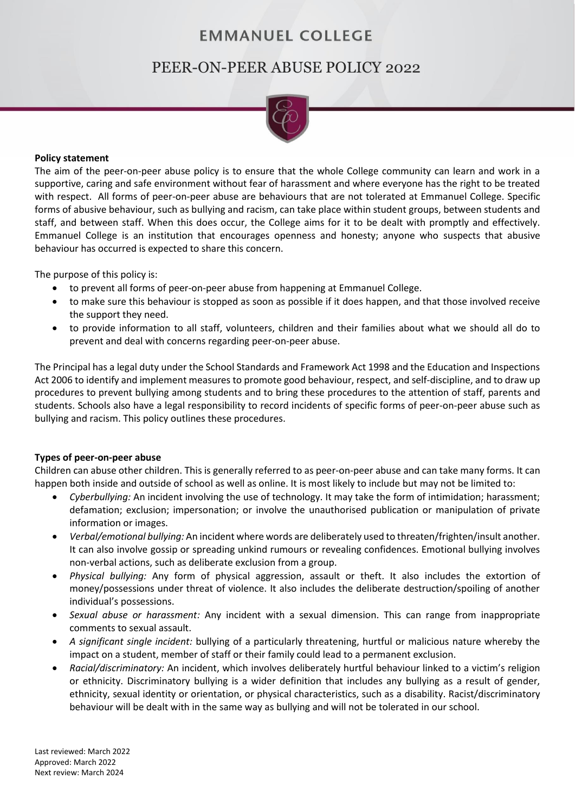## **EMMANUEL COLLEGE**

# PEER-ON-PEER ABUSE POLICY 2022



#### **Policy statement**

The aim of the peer-on-peer abuse policy is to ensure that the whole College community can learn and work in a supportive, caring and safe environment without fear of harassment and where everyone has the right to be treated with respect. All forms of peer-on-peer abuse are behaviours that are not tolerated at Emmanuel College. Specific forms of abusive behaviour, such as bullying and racism, can take place within student groups, between students and staff, and between staff. When this does occur, the College aims for it to be dealt with promptly and effectively. Emmanuel College is an institution that encourages openness and honesty; anyone who suspects that abusive behaviour has occurred is expected to share this concern.

The purpose of this policy is:

- to prevent all forms of peer-on-peer abuse from happening at Emmanuel College.
- to make sure this behaviour is stopped as soon as possible if it does happen, and that those involved receive the support they need.
- to provide information to all staff, volunteers, children and their families about what we should all do to prevent and deal with concerns regarding peer-on-peer abuse.

The Principal has a legal duty under the School Standards and Framework Act 1998 and the Education and Inspections Act 2006 to identify and implement measures to promote good behaviour, respect, and self-discipline, and to draw up procedures to prevent bullying among students and to bring these procedures to the attention of staff, parents and students. Schools also have a legal responsibility to record incidents of specific forms of peer-on-peer abuse such as bullying and racism. This policy outlines these procedures.

## **Types of peer-on-peer abuse**

Children can abuse other children. This is generally referred to as peer-on-peer abuse and can take many forms. It can happen both inside and outside of school as well as online. It is most likely to include but may not be limited to:

- *Cyberbullying:* An incident involving the use of technology. It may take the form of intimidation; harassment; defamation; exclusion; impersonation; or involve the unauthorised publication or manipulation of private information or images.
- *Verbal/emotional bullying:* An incident where words are deliberately used to threaten/frighten/insult another. It can also involve gossip or spreading unkind rumours or revealing confidences. Emotional bullying involves non-verbal actions, such as deliberate exclusion from a group.
- *Physical bullying:* Any form of physical aggression, assault or theft. It also includes the extortion of money/possessions under threat of violence. It also includes the deliberate destruction/spoiling of another individual's possessions.
- *Sexual abuse or harassment:* Any incident with a sexual dimension. This can range from inappropriate comments to sexual assault.
- *A significant single incident:* bullying of a particularly threatening, hurtful or malicious nature whereby the impact on a student, member of staff or their family could lead to a permanent exclusion.
- *Racial/discriminatory:* An incident, which involves deliberately hurtful behaviour linked to a victim's religion or ethnicity. Discriminatory bullying is a wider definition that includes any bullying as a result of gender, ethnicity, sexual identity or orientation, or physical characteristics, such as a disability. Racist/discriminatory behaviour will be dealt with in the same way as bullying and will not be tolerated in our school.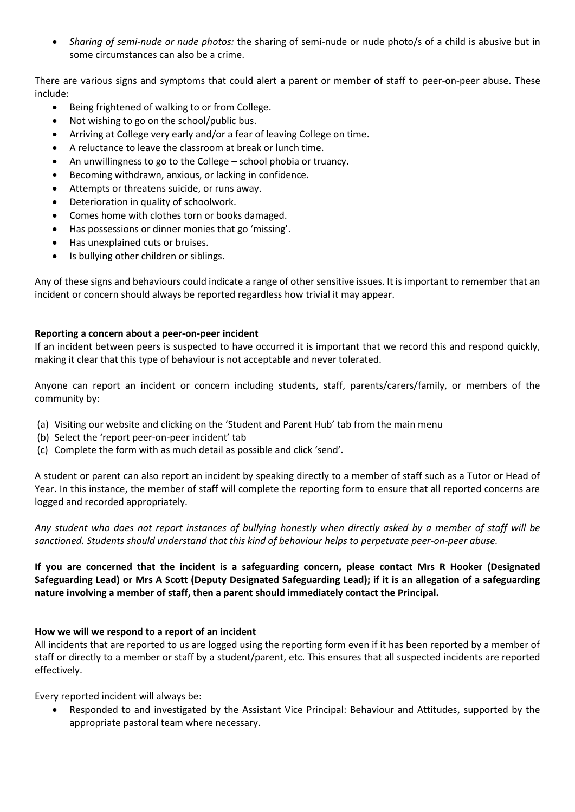• *Sharing of semi-nude or nude photos:* the sharing of semi-nude or nude photo/s of a child is abusive but in some circumstances can also be a crime.

There are various signs and symptoms that could alert a parent or member of staff to peer-on-peer abuse. These include:

- Being frightened of walking to or from College.
- Not wishing to go on the school/public bus.
- Arriving at College very early and/or a fear of leaving College on time.
- A reluctance to leave the classroom at break or lunch time.
- An unwillingness to go to the College school phobia or truancy.
- Becoming withdrawn, anxious, or lacking in confidence.
- Attempts or threatens suicide, or runs away.
- Deterioration in quality of schoolwork.
- Comes home with clothes torn or books damaged.
- Has possessions or dinner monies that go 'missing'.
- Has unexplained cuts or bruises.
- Is bullying other children or siblings.

Any of these signs and behaviours could indicate a range of other sensitive issues. It is important to remember that an incident or concern should always be reported regardless how trivial it may appear.

## **Reporting a concern about a peer-on-peer incident**

If an incident between peers is suspected to have occurred it is important that we record this and respond quickly, making it clear that this type of behaviour is not acceptable and never tolerated.

Anyone can report an incident or concern including students, staff, parents/carers/family, or members of the community by:

- (a) Visiting our website and clicking on the 'Student and Parent Hub' tab from the main menu
- (b) Select the 'report peer-on-peer incident' tab
- (c) Complete the form with as much detail as possible and click 'send'.

A student or parent can also report an incident by speaking directly to a member of staff such as a Tutor or Head of Year. In this instance, the member of staff will complete the reporting form to ensure that all reported concerns are logged and recorded appropriately.

*Any student who does not report instances of bullying honestly when directly asked by a member of staff will be sanctioned. Students should understand that this kind of behaviour helps to perpetuate peer-on-peer abuse.* 

## **If you are concerned that the incident is a safeguarding concern, please contact Mrs R Hooker (Designated Safeguarding Lead) or Mrs A Scott (Deputy Designated Safeguarding Lead); if it is an allegation of a safeguarding nature involving a member of staff, then a parent should immediately contact the Principal.**

## **How we will we respond to a report of an incident**

All incidents that are reported to us are logged using the reporting form even if it has been reported by a member of staff or directly to a member or staff by a student/parent, etc. This ensures that all suspected incidents are reported effectively.

Every reported incident will always be:

• Responded to and investigated by the Assistant Vice Principal: Behaviour and Attitudes, supported by the appropriate pastoral team where necessary.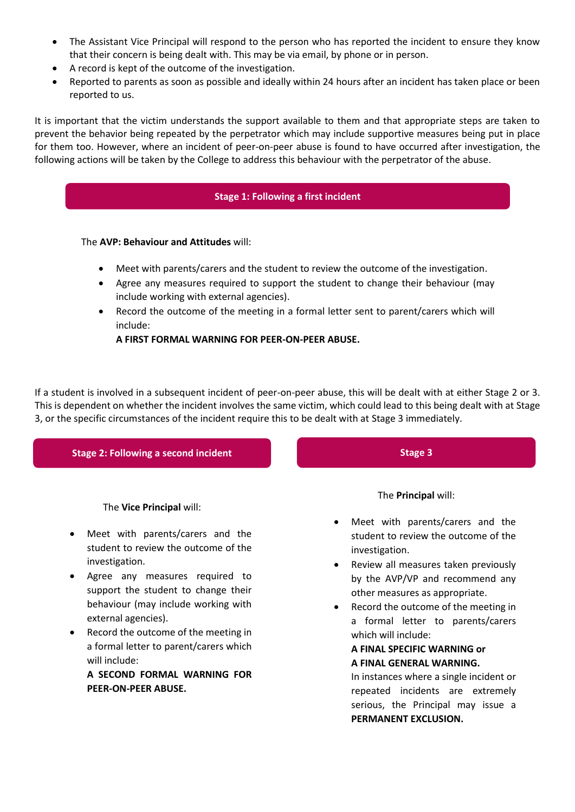- The Assistant Vice Principal will respond to the person who has reported the incident to ensure they know that their concern is being dealt with. This may be via email, by phone or in person.
- A record is kept of the outcome of the investigation.
- Reported to parents as soon as possible and ideally within 24 hours after an incident has taken place or been reported to us.

It is important that the victim understands the support available to them and that appropriate steps are taken to prevent the behavior being repeated by the perpetrator which may include supportive measures being put in place for them too. However, where an incident of peer-on-peer abuse is found to have occurred after investigation, the following actions will be taken by the College to address this behaviour with the perpetrator of the abuse.

## **Stage 1: Following a first incident**

#### The **AVP: Behaviour and Attitudes** will:

- Meet with parents/carers and the student to review the outcome of the investigation.
- Agree any measures required to support the student to change their behaviour (may include working with external agencies).
- Record the outcome of the meeting in a formal letter sent to parent/carers which will include:

**A FIRST FORMAL WARNING FOR PEER-ON-PEER ABUSE.**

If a student is involved in a subsequent incident of peer-on-peer abuse, this will be dealt with at either Stage 2 or 3. This is dependent on whether the incident involves the same victim, which could lead to this being dealt with at Stage 3, or the specific circumstances of the incident require this to be dealt with at Stage 3 immediately.

## **Stage 2: Following a second incident**

The **Vice Principal** will:

- Meet with parents/carers and the student to review the outcome of the investigation.
- Agree any measures required to support the student to change their behaviour (may include working with external agencies).
- Record the outcome of the meeting in a formal letter to parent/carers which will include:
	- **A SECOND FORMAL WARNING FOR PEER-ON-PEER ABUSE.**

**Stage 3**

The **Principal** will:

- Meet with parents/carers and the student to review the outcome of the investigation.
- Review all measures taken previously by the AVP/VP and recommend any other measures as appropriate.
- Record the outcome of the meeting in a formal letter to parents/carers which will include:

#### **A FINAL SPECIFIC WARNING or A FINAL GENERAL WARNING.**

In instances where a single incident or repeated incidents are extremely serious, the Principal may issue a **PERMANENT EXCLUSION.**